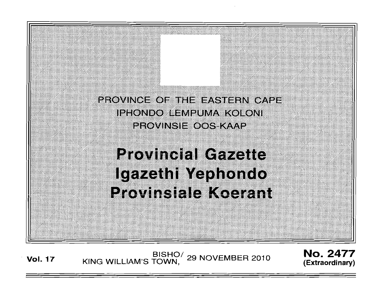

**Vol. 17 KING WILLIAM'S TOWN,** <sup>29</sup> NOVEMBER 2010 **No. 2477 KING WILLIAM'S TOWN**, <sup>29</sup> NOVEMBER 2010 *(Extraordinary)* 

**(Extraordinary)**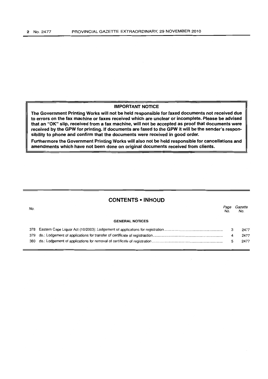# **IMPORTANT NOTICE**

**The Government Printing Works will not be held responsible for faxed documents not received due to errors on the fax machine or faxes received which are unclear or incomplete. Please be advised that an** "OK" **slip, received from a fax machine, will not be accepted as proof that documents were received by the GPW for printing. If documents are faxed to the GPW it will be the sender's responsibility to phone and confirm that the documents were received in good order.** 

**Furthermore the Government Printing Works will also not be held responsible for cancellations and amendments which have not been done on original documents received from clients.** 

# **CONTENTS • INHOUD**

| No. |                        | Page<br>No. | Gazette<br>No. |
|-----|------------------------|-------------|----------------|
|     | <b>GENERAL NOTICES</b> |             |                |
|     |                        | 3           | 2477           |
|     |                        | 4           | 2477           |
| 380 |                        |             | 2477           |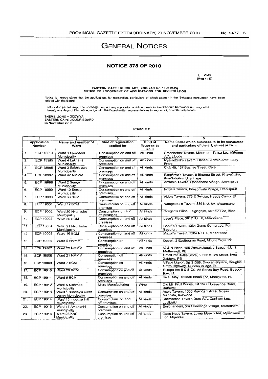# **GENERAL NOTICES**

# **NOTICE 378 OF 2010**

1. CM3<br>[Reg 4 (1)]

EASTERN CAPE LIQUOR ACT, 2003 (Act No. 10 of 2003)<br>NOTICE OF LODGEMENT OF APPLICATIONS FOR REGISTRATION

Notice is hereby given that the applications for registration, particulars of which appear in the Schedule hereunder, have been<br>lodged with the Board.

Interested parties may, free of charge, inspect any application which appears in the Schedule hereunder and may within<br>twenty one days of this notice, lodge with the Board written representations in support of, or written

THEMBI ZONO – GXOYIYA<br>EASTERN CAPE LIQUOR BOARD<br>25 November 2010

#### **SCHEDULE**

| $\mathbf{1}$            |                  | $\overline{2}$                                      | $\overline{\mathbf{3}}$            | 4            | 5                                                                                      |
|-------------------------|------------------|-----------------------------------------------------|------------------------------------|--------------|----------------------------------------------------------------------------------------|
| Application             |                  | Name and number of                                  | Kind of registration               | Kind of      | Name under which business is to be conducted                                           |
|                         | <b>Number</b>    | Ward                                                | applied for                        | liquor to be | and particulars of the erf, street or farm                                             |
|                         |                  |                                                     |                                    | sold         |                                                                                        |
| 1.                      | <b>ECP 18994</b> | Ward 4 Nyandeni<br>Municipality                     | Consumption on and off<br>premises | All kinds    | Emabheleni Tavern, Mthome - Tsitsa Loc, Mthome<br>A/A. Libode                          |
| $\overline{2}$ .        | <b>ECP 18995</b> | Ward 4 Lukhanii<br>Municipality                     | Consumption on and off<br>premises | All kinds    | Nyamezela's Tavern, Cacadu Admin Area, Lady<br>Frere                                   |
| 3.                      | <b>ECP 18996</b> | Ward 3 Sakhisizwe<br>Municipality                   | Consumption on and off<br>premises | All kinds    | Club 40, 137 Bashee Street, Cala                                                       |
| 4.                      | ECP 18997        | Ward 42 NMMM                                        | Consumption on and off<br>premises | All kinds    | Simphiwe's Tavern, 9 Bhunga Street, Khayelitsha,<br>KwaNobuhle, Uitenhage              |
| 5.                      | <b>ECP 18998</b> | Ward 2 Sengu<br>Municipality                        | Consumption on and off<br>premises | All kinds    | Amatolo Tavern, Qoboshane Village, Sterkspruit                                         |
| 6.                      | <b>ECP 18999</b> | Ward 10 Sengu<br>Municipality                       | Consumption on and off<br>premises | All kinds    | Nozie's Tavern, Bensonvale Village, Sterkspruit                                        |
| $\overline{\mathbf{7}}$ | <b>ECP 19000</b> | Ward 33 BCM                                         | Consumption on and off<br>premises | All kinds    | Vido's Tavern, 773 E Section, Needs Camp, EL                                           |
| 8.                      | <b>ECP 19001</b> | Ward 19 BCM                                         | Consumption on and off<br>premises | All kinds    | Nomgcobo's Tavem, 880 N.U. 5A, Mdantsane                                               |
| 9.                      | ECP 19002        | Ward 20 Nkonkobe<br>Municipality                    | Consumption on and<br>off premises | All kinds    | Gcogco's Place, Esiginggini, Mxhelo Loc, Alice                                         |
| 10.                     | ECP 19003        | Ward 20 BCM                                         | Consumption on and off<br>premises | All kinds    | Lase's Place, 3917 N.U. 8, Mdantsane                                                   |
| 11.                     | <b>ECP 19004</b> | Ward 21 Nkonkobe<br>Municipality                    | Consumption on and off<br>premises | All kinds    | Bhoki's Tavern, 4064 Goma Goma Loc, Fort<br>Beaufort                                   |
| 12.                     | ECP 19005        | Ward 16 BCM                                         | Consumption on and off<br>premises | All kinds    | Maxoli's Tavern, 7284 N.U. 4, Mdantsane                                                |
| 13.                     | <b>ECP 19006</b> | Ward 5 NMMM                                         | Consumption on<br>premises         | All kinds    | Detroit, 2 Eastbourne Road, Mount Croix, PE                                            |
| 14.                     | <b>ECP 19007</b> | Ward 23 NMMM                                        | Consumption on and off<br>premises | All kinds    | M & N Place, 165 Zamukulungisa Street, N.U. 2<br>Motherwell, PE                        |
| 15.                     | <b>ECP 19008</b> | Ward 21 NMMM                                        | Consumption off<br>premises        | All kinds    | Smail Pot Bottle Store, 50686 Kulati Street, Kwa<br>Zakhele, PE                        |
| 16.                     | <b>ECP 19009</b> | Ward 7 BCM                                          | Consumption off<br>premises        | All kinds    | Village Liquor, Erf 31369, Duncan Square, Douglas<br>Smith Highway, Duncan Village, EL |
| 17.                     | ECP 19010        | Ward 28 BCM                                         | Consumption on and off<br>premises | All kinds    | Europa Inn B & B CC, 58 Bonza Bay Road, Beacon<br>Bay, EL                              |
| 18.                     | ECP 19011        | Ward 6 BCM                                          | Consumption on and off<br>premises | All kinds    | Kwa Ruby, 150336 Bhola Loc, Mooiplaas, EL                                              |
| 19.                     | ECP 19012        | Ward 5 Ndiambe<br>Municipality                      | Micro Manufacturing                | Wine         | Old Mill Fruit Wines, Erf 1527 Horseshoe Road,<br><b>Bathurst</b>                      |
| 20.                     | <b>ECP 19013</b> | Ward 1 Sunday's River<br><b>Valley Municipality</b> | Consumption on and off<br>premises | All kinds    | Ace's Tavern, 1836 Msengeni Area, Moses<br>Mabhida, Kirkwood                           |
| 21.                     | ECP 19014        | Ward 16 Ingquza Hill<br>Municipality                | Consumption on and<br>off premises | All kinds    | Satisfaction Tavern, Xura A/A, Canham Loc,<br>Lusikisiki                               |
| $\overline{22}$ .       | <b>ECP 19015</b> | Ward 17 Amahlathi<br>Municipality                   | Consumption on and off<br>premises | All kinds    | Emiphandeni, 5371 Isedenge Village, Stutterheim                                        |
| 23.                     | ECP 19016        | Ward 23 KSD<br>Municipality                         | Consumption on and off<br>premises | All kinds    | Good Hope Tavern, Lower Mpako A/A, Mpindweni<br>Loc. Mganduli                          |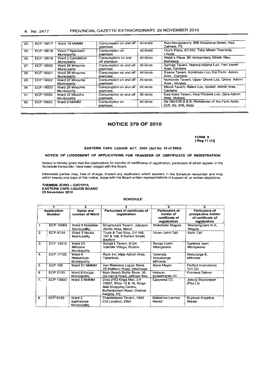# 4 No. 2477 PROVINCIAL GAZETTE EXTRAORDINARY, 29 NOVEMBER 2010

| 24. | ECP 19017        | Ward 19 NMMM                    | Consumption on and off<br>premises | All kinds | Kwa Hiongwana's, 858 Nobatana Street, Kwa<br>Zakhele, PE               |
|-----|------------------|---------------------------------|------------------------------------|-----------|------------------------------------------------------------------------|
| 25. | <b>ECP 19018</b> | Ward 7 Nyandeni<br>Municipality | Consumption on<br>premises         | All kinds | Gcu's Place, Erf 832, Tabo Mbeki Township,<br>Libode                   |
| 26. | <b>ECP 19019</b> | Ward 2 Camdeboo<br>Municipality | Consumptiom on and<br>off premises | All kinds | Webb's Place, 96 Hartzenberg Street, Nieu<br>Bethesda                  |
| 27. | <b>ECP 19020</b> | Ward 29 Mnguma<br>Municipality  | Consumption on and off<br>premises | Ail kinds | Springs Tavern, Ndama-ndama Loc, Feni Admin<br>Area. Centane           |
| 28. | ECP 19021        | Ward 29 Mnguma<br>Municipality  | Consumption on and off<br>premises | All kinds | Sisana Tavern, Komkhulu Loc, Kei Farm Admin<br>Area . Centane          |
| 29. | ECP 19022        | Ward 22 Mnguma<br>Municipality  | Consumption on and off<br>premises | All kinds | Nomonde Tavern, Upper Qhora Loc, Qhora Admin<br>Area Joutywa           |
| 30. | ECP 19023        | Ward 26 Mnguma<br>Municipality  | Consumption on and off<br>premises | All kinds | Mbodi Tavern, Releni Loc, Godidi Admin Area,<br>Centane                |
| 31. | <b>ECP 19024</b> | Ward 22 Mbashe<br>Municipality  | Consumption on and off<br>premises | All kinds | Kwa Koko Tavern, Kwa Phoswa Loc, Qora Admin<br>Area, Idutywa           |
| 32. | <b>ECP 19025</b> | Ward 3 NMMM                     | Consumption on<br>premises         | All kinds | De Old Drift B & B, Remainder of the Farm Addo<br>Drift, No. 549, Addo |

# **NOTICE 379 OF 2010**

FORM 9 [Reg 11 (1)]

#### EASTERN CAPE LIQUOR ACT, 2003 (Act No. 10 of 2003)

### NOTICE OF LODGEMENT OF APPLICATIONS FOR TRANSFER OF CERTIFiCATE OF REGISTRATION

Notice is hereby given that the applications for transfer of certificates of registration. particulars of which appear in the Schedule hereunder, have been lodged with the Board.

Interested parties may, free of charge, Inspect any application which appears in the Schedule hereunder and may<br>within twenty one days of this notice, lodge with the Board written representations in support of, or written

THEMBIE ZONO - GXOYIYA EASTERN CAPE LIQUOR BOARD 25 November 2010

#### SCHEDULE

|                                     |                  | $\overline{2}$<br>3                  |                                                                                                                                |                                                                      | 5                                                                                |  |
|-------------------------------------|------------------|--------------------------------------|--------------------------------------------------------------------------------------------------------------------------------|----------------------------------------------------------------------|----------------------------------------------------------------------------------|--|
| <b>Application</b><br><b>Number</b> |                  | Name and<br>number of Ward           | Particulars of certificate of<br>registration                                                                                  | <b>Particulars of</b><br>holder of<br>certificate of<br>registration | <b>Particulars of</b><br>prospective holder<br>of certificate of<br>registration |  |
| 1                                   | ECP 10064        | Ward 6 Matatlele<br>Municipality     | Khuphukani Tavern, Jabulani<br>Admin Area, Maluti                                                                              | Mokofeitsi Magula                                                    | Nosibongiseni N.A.<br>Magula                                                     |  |
| 2.                                  | <b>ECP 6134</b>  | Ward 3 Nxuba<br>Municipality         | Truck & Taxi Stop, Erf 166,<br>167 & 168, 8 Donkin Street,<br>Bedford                                                          | Vivian John Tait                                                     | Karin Tait                                                                       |  |
| 3                                   | <b>ECP 14515</b> | Ward 23<br>Mbizana<br>Municipality   | Bonga's Tavern, 6124<br>Valindle Village, Bizana                                                                               | Bonga Collin<br>Mtungwana                                            | Sariema Jean<br>Mtungwana                                                        |  |
| 4.                                  | <b>ECP 17122</b> | Ward 9<br>Mabankulu<br>Municipality  | Rock Inn, Mjila Admin Area,<br>Tabankulu                                                                                       | Valencia<br>Nokubonga<br>Mthimde                                     | Nokulunga E.<br>Mthimde                                                          |  |
| $\overline{5}$ .                    | <b>ECP 190</b>   | Ward 51 NMMM                         | Van Riebeeck Liguor Store,<br>29 Maitland Road, Uitenhage                                                                      | Rene Meyer                                                           | Perfect Innovations<br>141 CC                                                    |  |
| 6.                                  | <b>ECP 2103</b>  | Ward 8 Kouga<br>Municipality         | Main Beach Bottle Store, 30<br>Da Gama Road, Jeffreys Bay                                                                      | Hobson<br><b>Investments CC</b>                                      | Franswa Dekker                                                                   |  |
| 7.                                  | ECP 13903        | Ward 3 NMMM                          | Dros (PE) Kings Mall, Erf<br>10657, Shop 15 & 16, Kings<br>Mall Shopping Centre,<br>Buffelsfontein Road, Walmer<br>Heights, PE | Cappelsa CC                                                          | Joburg Skyscraper<br>(Pty) Ltd                                                   |  |
| 8.                                  | <b>ECP 6162</b>  | Ward 2<br>Sakhisizwe<br>Municipality | Thembisizwe Tavern, 1940<br>Old Location, Elliot                                                                               | Makamba Lennox<br>Ntelezi                                            | Buyiswa Angelina<br>Ntelezi                                                      |  |